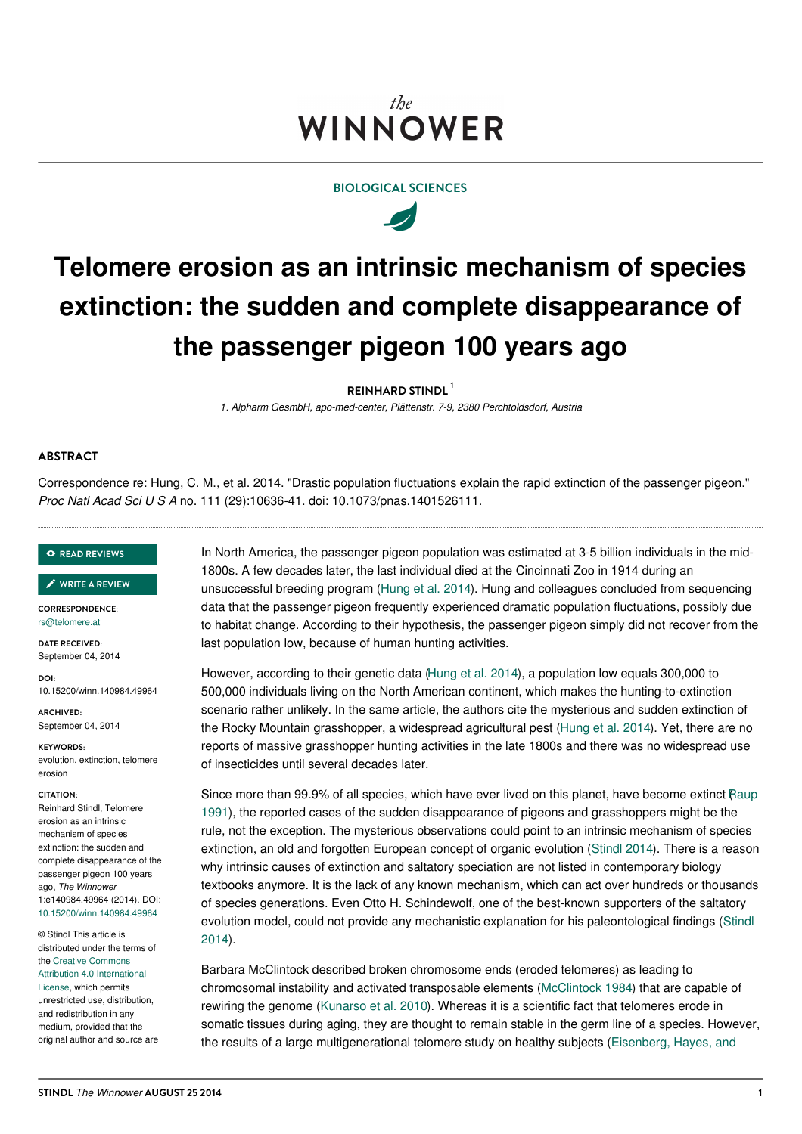# the **WINNOWER**

# **BIOLOGICAL SCIENCES**



# **Telomere erosion as an intrinsic mechanism of species extinction: the sudden and complete disappearance of the passenger pigeon 100 years ago**

**REINHARD STINDL 1**

*1. Alpharm GesmbH, apo-med-center, Plättenstr. 7-9, 2380 Perchtoldsdorf, Austria*

## **ABSTRACT**

Correspondence re: Hung, C. M., et al. 2014. "Drastic population fluctuations explain the rapid extinction of the passenger pigeon." *Proc Natl Acad Sci U S A* no. 111 (29):10636-41. doi: 10.1073/pnas.1401526111.

#### **READ [REVIEWS](https://thewinnower.com/papers/telomere-erosion-as-an-intrinsic-mechanism-of-species-extinction-the-sudden-and-complete-disappearance-of-the-passenger-pigeon-100-years-ago?review_it=true)**

**WRITE A [REVIEW](https://thewinnower.com/papers/telomere-erosion-as-an-intrinsic-mechanism-of-species-extinction-the-sudden-and-complete-disappearance-of-the-passenger-pigeon-100-years-ago?review_it=true)** ✎

**CORRESPONDENCE:** [rs@telomere.at](mailto:rs@telomere.at)

**DATE RECEIVED:** September 04, 2014

**DOI:** 10.15200/winn.140984.49964

**ARCHIVED:** September 04, 2014

**KEYWORDS:** evolution, extinction, telomere erosion

#### **CITATION:**

Reinhard Stindl, Telomere erosion as an intrinsic mechanism of species extinction: the sudden and complete disappearance of the passenger pigeon 100 years ago, *The Winnower* 1:e140984.49964 (2014). DOI: [10.15200/winn.140984.49964](http://dx.doi.org/10.15200/winn.140984.49964)

© Stindl This article is distributed under the terms of the Creative Commons Attribution 4.0 [International](http://creativecommons.org/licenses/by/4.0/) License, which permits unrestricted use, distribution, and redistribution in any medium, provided that the original author and source are In North America, the passenger pigeon population was estimated at 3-5 billion individuals in the mid-1800s. A few decades later, the last individual died at the Cincinnati Zoo in 1914 during an unsuccessful breeding program [\(Hung](#page-1-0) et al. 2014). Hung and colleagues concluded from sequencing data that the passenger pigeon frequently experienced dramatic population fluctuations, possibly due to habitat change. According to their hypothesis, the passenger pigeon simply did not recover from the last population low, because of human hunting activities.

However, according to their genetic data [\(Hung](#page-1-0) et al. 2014), a population low equals 300,000 to 500,000 individuals living on the North American continent, which makes the hunting-to-extinction scenario rather unlikely. In the same article, the authors cite the mysterious and sudden extinction of the Rocky Mountain grasshopper, a widespread agricultural pest [\(Hung](#page-1-0) et al. 2014). Yet, there are no reports of massive grasshopper hunting activities in the late 1800s and there was no widespread use of insecticides until several decades later.

Since more than 99.9% of all species, which have ever lived on this planet, have become extinct Raup 1991), the reported cases of the sudden [disappearance](#page-1-1) of pigeons and grasshoppers might be the rule, not the exception. The mysterious observations could point to an intrinsic mechanism of species extinction, an old and forgotten European concept of organic evolution [\(Stindl](#page-1-2) 2014). There is a reason why intrinsic causes of extinction and saltatory speciation are not listed in contemporary biology textbooks anymore. It is the lack of any known mechanism, which can act over hundreds or thousands of species generations. Even Otto H. Schindewolf, one of the best-known supporters of the saltatory evolution model, could not provide any mechanistic explanation for his [paleontological](#page-1-2) findings (Stindl 2014).

Barbara McClintock described broken chromosome ends (eroded telomeres) as leading to chromosomal instability and activated transposable elements [\(McClintock](#page-1-3) 1984) that are capable of rewiring the genome ([Kunarso](#page-1-4) et al. 2010). Whereas it is a scientific fact that telomeres erode in somatic tissues during aging, they are thought to remain stable in the germ line of a species. However, the results of a large [multigenerational](#page-1-5) telomere study on healthy subjects (Eisenberg, Hayes, and